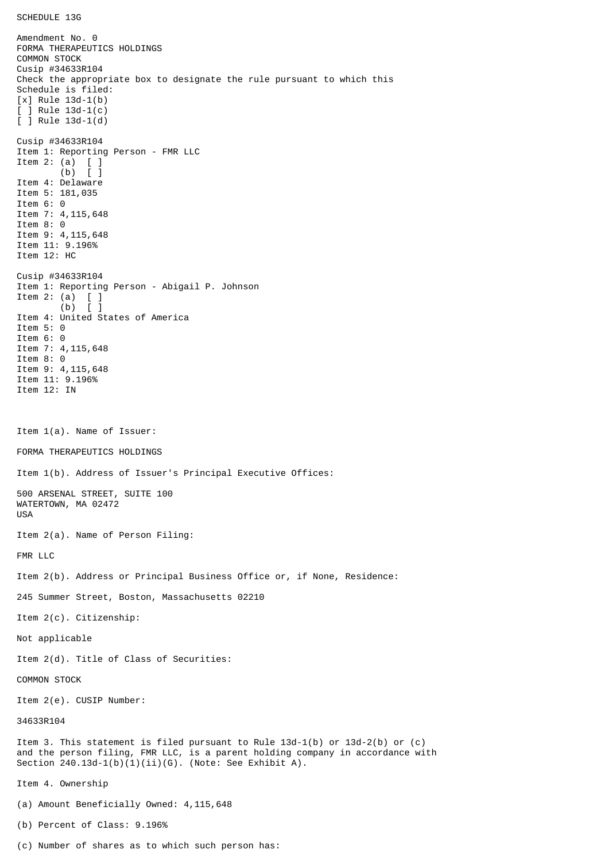SCHEDULE 13G

Amendment No. 0 FORMA THERAPEUTICS HOLDINGS COMMON STOCK Cusip #34633R104 Check the appropriate box to designate the rule pursuant to which this Schedule is filed: [x] Rule 13d-1(b) [ ] Rule 13d-1(c) [ ] Rule 13d-1(d) Cusip #34633R104 Item 1: Reporting Person - FMR LLC Item 2: (a) [ ] (b) [ ] Item 4: Delaware Item 5: 181,035 Item 6: 0 Item 7: 4,115,648 Item 8: 0 Item 9: 4,115,648 Item 11: 9.196% Item 12: HC Cusip #34633R104 Item 1: Reporting Person - Abigail P. Johnson Item 2: (a)  $\begin{bmatrix} 1 \\ 0 \end{bmatrix}$  $(b)$ Item 4: United States of America Item 5: 0 Item 6: 0 Item 7: 4,115,648 Item 8: 0 Item 9: 4,115,648 Item 11: 9.196% Item 12: IN Item 1(a). Name of Issuer: FORMA THERAPEUTICS HOLDINGS Item 1(b). Address of Issuer's Principal Executive Offices: 500 ARSENAL STREET, SUITE 100 WATERTOWN, MA 02472 USA Item 2(a). Name of Person Filing: FMR LLC Item 2(b). Address or Principal Business Office or, if None, Residence: 245 Summer Street, Boston, Massachusetts 02210 Item 2(c). Citizenship: Not applicable Item 2(d). Title of Class of Securities: COMMON STOCK Item 2(e). CUSIP Number: 34633R104 Item 3. This statement is filed pursuant to Rule 13d-1(b) or 13d-2(b) or (c) and the person filing, FMR LLC, is a parent holding company in accordance with Section 240.13d-1(b)(1)(ii)(G). (Note: See Exhibit A). Item 4. Ownership (a) Amount Beneficially Owned: 4,115,648 (b) Percent of Class: 9.196%

(c) Number of shares as to which such person has: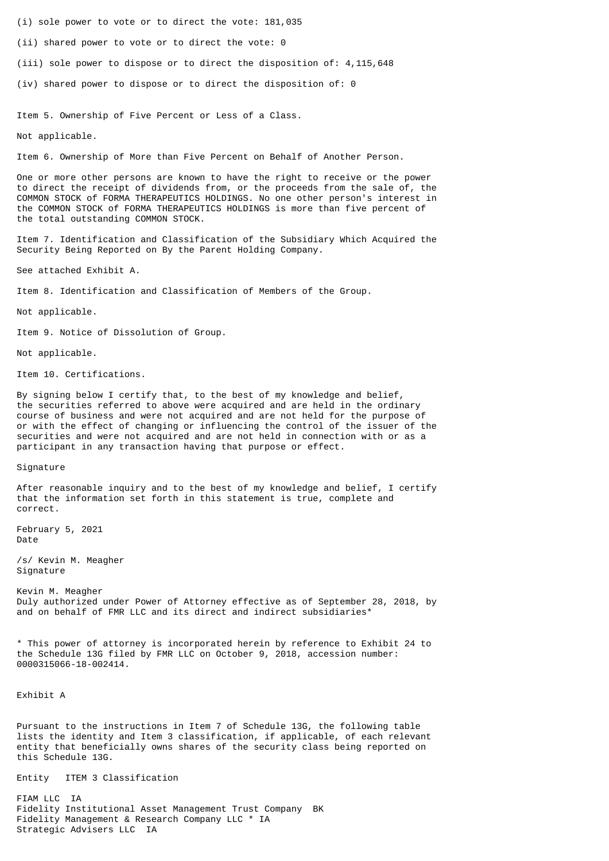- (i) sole power to vote or to direct the vote: 181,035
- (ii) shared power to vote or to direct the vote: 0
- (iii) sole power to dispose or to direct the disposition of: 4,115,648
- (iv) shared power to dispose or to direct the disposition of: 0

Item 5. Ownership of Five Percent or Less of a Class.

Not applicable.

Item 6. Ownership of More than Five Percent on Behalf of Another Person.

One or more other persons are known to have the right to receive or the power to direct the receipt of dividends from, or the proceeds from the sale of, the COMMON STOCK of FORMA THERAPEUTICS HOLDINGS. No one other person's interest in the COMMON STOCK of FORMA THERAPEUTICS HOLDINGS is more than five percent of the total outstanding COMMON STOCK.

Item 7. Identification and Classification of the Subsidiary Which Acquired the Security Being Reported on By the Parent Holding Company.

See attached Exhibit A.

Item 8. Identification and Classification of Members of the Group.

Not applicable.

Item 9. Notice of Dissolution of Group.

Not applicable.

Item 10. Certifications.

By signing below I certify that, to the best of my knowledge and belief, the securities referred to above were acquired and are held in the ordinary course of business and were not acquired and are not held for the purpose of or with the effect of changing or influencing the control of the issuer of the securities and were not acquired and are not held in connection with or as a participant in any transaction having that purpose or effect.

Signature

After reasonable inquiry and to the best of my knowledge and belief, I certify that the information set forth in this statement is true, complete and correct.

February 5, 2021 Date

/s/ Kevin M. Meagher Signature

Kevin M. Meagher Duly authorized under Power of Attorney effective as of September 28, 2018, by and on behalf of FMR LLC and its direct and indirect subsidiaries\*

\* This power of attorney is incorporated herein by reference to Exhibit 24 to the Schedule 13G filed by FMR LLC on October 9, 2018, accession number: 0000315066-18-002414.

Exhibit A

Pursuant to the instructions in Item 7 of Schedule 13G, the following table lists the identity and Item 3 classification, if applicable, of each relevant entity that beneficially owns shares of the security class being reported on this Schedule 13G.

Entity ITEM 3 Classification

FIAM LLC IA Fidelity Institutional Asset Management Trust Company BK Fidelity Management & Research Company LLC \* IA Strategic Advisers LLC IA